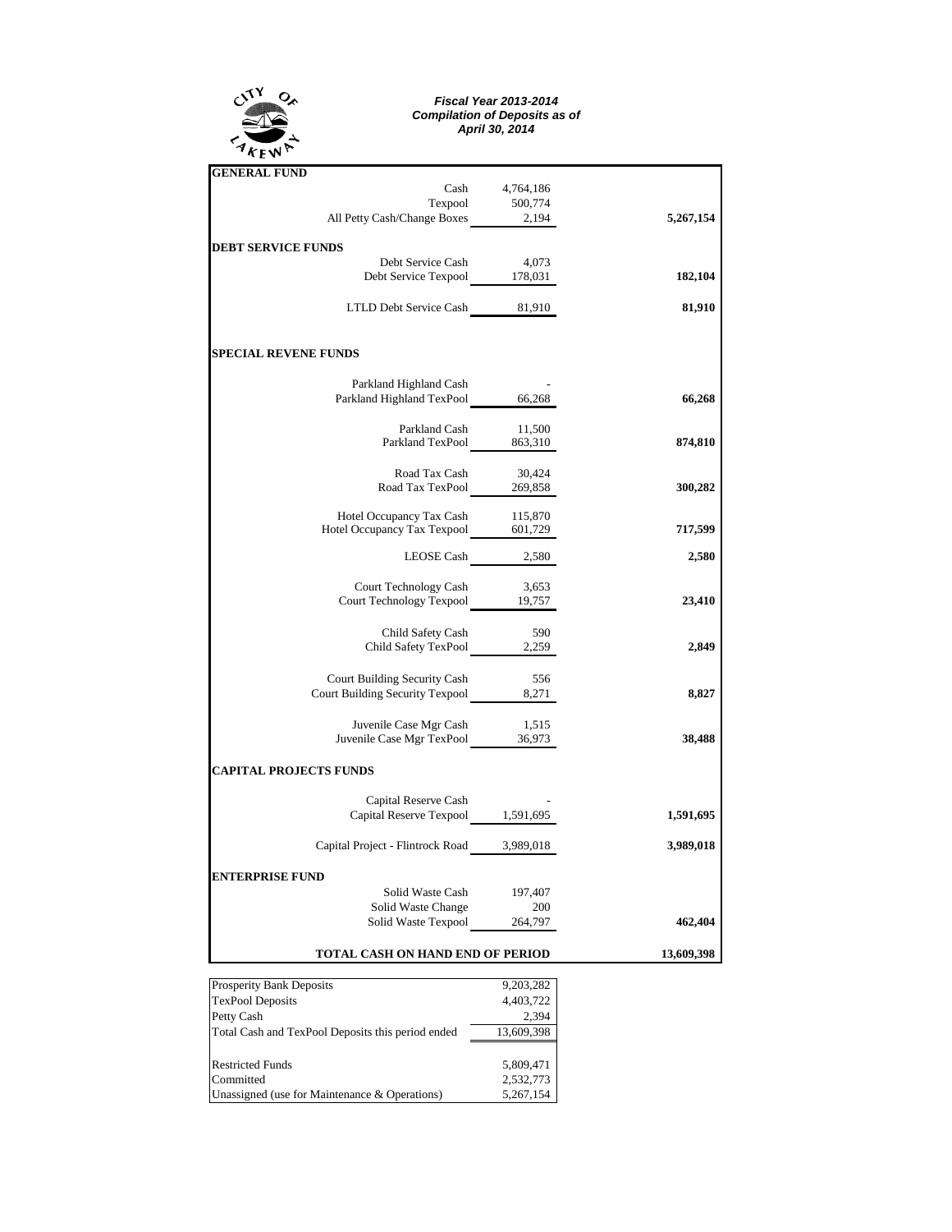

## *Fiscal Year 2013-2014 Compilation of Deposits as of April 30, 2014*

| <b>GENERAL FUND</b>                                                     |                  |           |
|-------------------------------------------------------------------------|------------------|-----------|
|                                                                         | Cash 4,764,186   |           |
| Texpool 500,774<br>All Petty Cash/Change Boxes 2,194                    |                  |           |
|                                                                         |                  | 5,267,154 |
| <b>DEBT SERVICE FUNDS</b>                                               |                  |           |
|                                                                         |                  |           |
| Debt Service Cash 4,073<br>Debt Service Texpool 178,031                 |                  | 182,104   |
|                                                                         |                  |           |
| LTLD Debt Service Cash 81,910                                           |                  | 81,910    |
| <b>SPECIAL REVENE FUNDS</b>                                             |                  |           |
|                                                                         |                  |           |
| Parkland Highland Cash                                                  |                  |           |
| Parkland Highland TexPool 66,268                                        |                  | 66,268    |
| Parkland Cash                                                           | 11,500           |           |
| Parkland TexPool 863,310                                                |                  | 874,810   |
| Road Tax Cash                                                           | 30,424           |           |
| Road Tax TexPool 269,858                                                |                  | 300,282   |
|                                                                         |                  |           |
| Hotel Occupancy Tax Cash 115,870<br>Hotel Occupancy Tax Texpool 601,729 |                  |           |
|                                                                         |                  | 717,599   |
|                                                                         | LEOSE Cash 2,580 | 2,580     |
|                                                                         |                  |           |
| Court Technology Cash 3,653<br>Court Technology Texpool 19,757          |                  | 23,410    |
|                                                                         |                  |           |
| Child Safety Cash<br>Child Safety TexPool 2,259                         | 590              |           |
|                                                                         |                  | 2,849     |
| Court Building Security Cash                                            | 556              |           |
|                                                                         |                  | 8,827     |
|                                                                         |                  |           |
| Juvenile Case Mgr Cash 1,515<br>Juvenile Case Mgr TexPool 36,973        |                  | 38,488    |
|                                                                         |                  |           |
| <b>CAPITAL PROJECTS FUNDS</b>                                           |                  |           |
| Capital Reserve Cash                                                    |                  |           |
| Capital Reserve Cash<br>Capital Reserve Texpool 1,591,695               |                  | 1,591,695 |
| Capital Project - Flintrock Road 3,989,018                              |                  | 3,989,018 |
| <b>ENTERPRISE FUND</b>                                                  |                  |           |
| Solid Waste Cash                                                        | 197,407          |           |
|                                                                         |                  |           |
| Solid Waste Change 200<br>Solid Waste Texpool 264,797                   |                  | 462,404   |
| <b>TOTAL CASH ON HAND END OF PERIOD</b>                                 | 13,609,398       |           |
|                                                                         |                  |           |

| <b>Prosperity Bank Deposits</b>                   | 9,203,282  |
|---------------------------------------------------|------------|
| <b>TexPool Deposits</b>                           | 4,403,722  |
| Petty Cash                                        | 2.394      |
| Total Cash and TexPool Deposits this period ended | 13,609,398 |
|                                                   |            |
| <b>Restricted Funds</b>                           | 5,809,471  |
| Committed                                         | 2,532,773  |
| Unassigned (use for Maintenance & Operations)     | 5,267,154  |